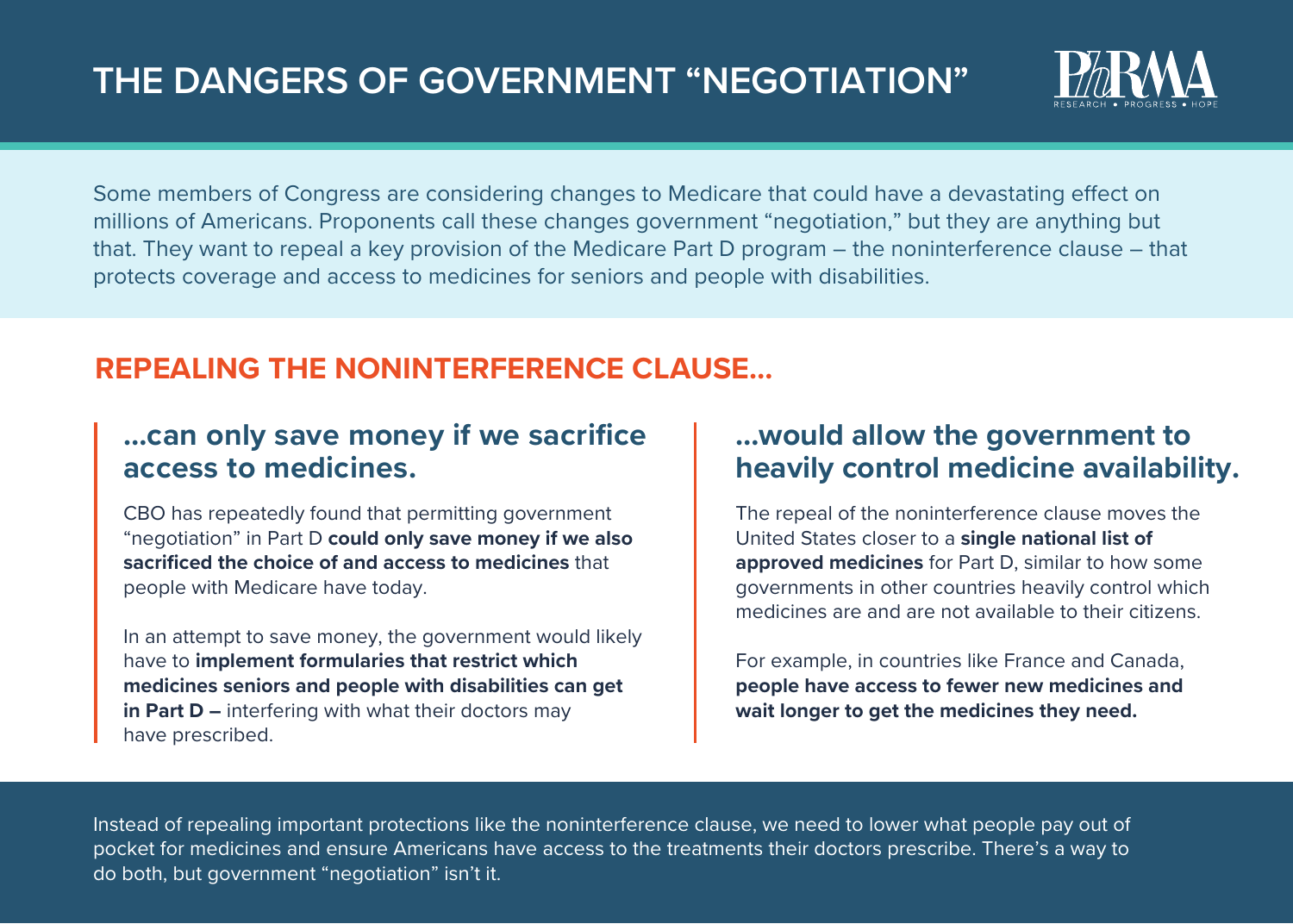

Some members of Congress are considering changes to Medicare that could have a devastating effect on millions of Americans. Proponents call these changes government "negotiation," but they are anything but that. They want to repeal a key provision of the Medicare Part D program – the noninterference clause – that protects coverage and access to medicines for seniors and people with disabilities.

## **REPEALING THE NONINTERFERENCE CLAUSE…**

## **…can only save money if we sacrifice access to medicines.**

CBO has repeatedly found that permitting government "negotiation" in Part D **could only save money if we also sacrificed the choice of and access to medicines** that people with Medicare have today.

In an attempt to save money, the government would likely have to **implement formularies that restrict which medicines seniors and people with disabilities can get in Part D –** interfering with what their doctors may have prescribed.

### **…would allow the government to heavily control medicine availability.**

The repeal of the noninterference clause moves the United States closer to a **single national list of approved medicines** for Part D, similar to how some governments in other countries heavily control which medicines are and are not available to their citizens.

For example, in countries like France and Canada, **people have access to fewer new medicines and wait longer to get the medicines they need.** 

Instead of repealing important protections like the noninterference clause, we need to lower what people pay out of pocket for medicines and ensure Americans have access to the treatments their doctors prescribe. There's a way to do both, but government "negotiation" isn't it.